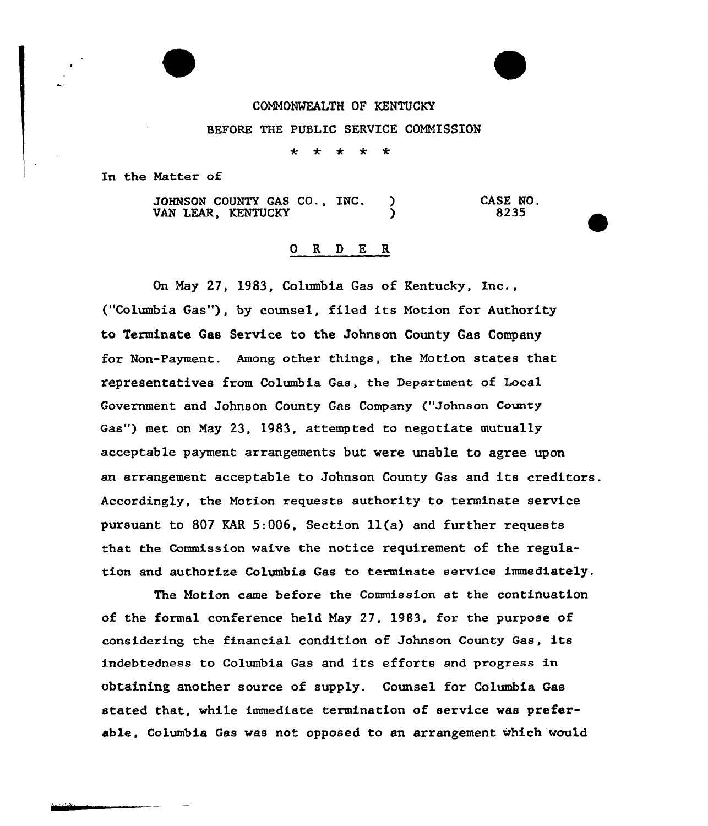## COMMONWEALTH OF KENTUCKY

## BEFORE THE PUBLIC SERVICE COMMISSION

 $\star$ \* \* \* \*

In the Natter of

JOHNSON COUNTY GAS CO., INC. VAN LEAR, KENTUCKY CASE NO, 8235

## 0 R <sup>D</sup> E R

On Nay 27, 1983, Columbia Gas of Kentucky, Inc., ("Columbia Gas"), by counsel, filed its Notion for Authority to Terminate Gas Service to the Johnson County Gas Company for Non-Payment. Among other things, the Notion states that representatives from Columbia Gas, the Department of Local Government and Johnson County Gas Company ("Johnson County Gas") met on Nay 23, 1983, attempted to negotiate mutually acceptable payment arrangements but were unable to agree upon an arrangement acceptable to Johnson County Gas and its creditors. Accordingly, the Notion requests authority to terminate service pursuant to 807 KAR 5:006, Section 11(a) and further requests that the Commission waive the notice requirement of the regulation and authorize Columbia Gas to terminate service immediately,

The Motion came before the Commission at the continuation of the formal conference held Nay 27, 1983, for the purpose of considering the financial condition of Johnson County Gas, its indebtedness to Columbia Gas and its efforts and progress in obtaining another source of supply. Counsel for Columbia Gas stated that, while immediate termination of service was preferable, Columbia Gas was not opposed to an arrangement which would